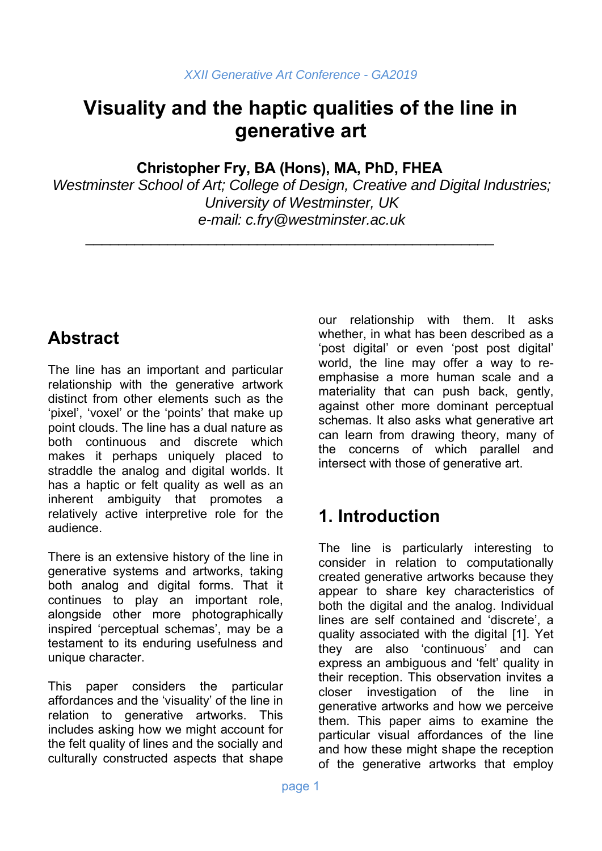# **Visuality and the haptic qualities of the line in generative art**

**Christopher Fry, BA (Hons), MA, PhD, FHEA** 

\_\_\_\_\_\_\_\_\_\_\_\_\_\_\_\_\_\_\_\_\_\_\_\_\_\_\_\_\_\_\_\_\_\_\_\_\_\_\_\_\_\_\_\_\_\_\_\_\_\_

*Westminster School of Art; College of Design, Creative and Digital Industries; University of Westminster, UK e-mail: c.fry@westminster.ac.uk* 

# **Abstract**

The line has an important and particular relationship with the generative artwork distinct from other elements such as the 'pixel', 'voxel' or the 'points' that make up point clouds. The line has a dual nature as both continuous and discrete which makes it perhaps uniquely placed to straddle the analog and digital worlds. It has a haptic or felt quality as well as an inherent ambiguity that promotes a relatively active interpretive role for the audience.

There is an extensive history of the line in generative systems and artworks, taking both analog and digital forms. That it continues to play an important role, alongside other more photographically inspired 'perceptual schemas', may be a testament to its enduring usefulness and unique character.

This paper considers the particular affordances and the 'visuality' of the line in relation to generative artworks. This includes asking how we might account for the felt quality of lines and the socially and culturally constructed aspects that shape

our relationship with them. It asks whether, in what has been described as a 'post digital' or even 'post post digital' world, the line may offer a way to reemphasise a more human scale and a materiality that can push back, gently, against other more dominant perceptual schemas. It also asks what generative art can learn from drawing theory, many of the concerns of which parallel and intersect with those of generative art.

# **1. Introduction**

The line is particularly interesting to consider in relation to computationally created generative artworks because they appear to share key characteristics of both the digital and the analog. Individual lines are self contained and 'discrete', a quality associated with the digital [1]. Yet they are also 'continuous' and can express an ambiguous and 'felt' quality in their reception. This observation invites a closer investigation of the line in generative artworks and how we perceive them. This paper aims to examine the particular visual affordances of the line and how these might shape the reception of the generative artworks that employ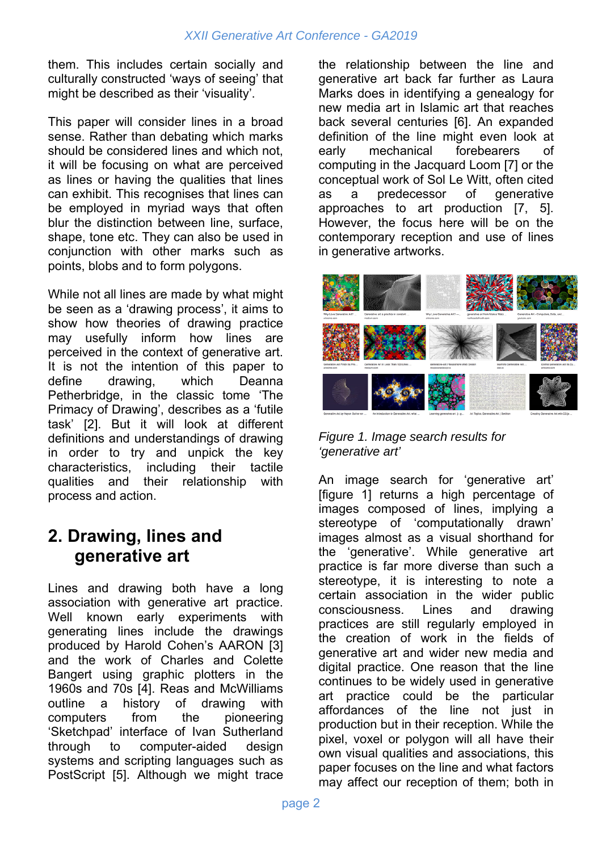them. This includes certain socially and culturally constructed 'ways of seeing' that might be described as their 'visuality'.

This paper will consider lines in a broad sense. Rather than debating which marks should be considered lines and which not, it will be focusing on what are perceived as lines or having the qualities that lines can exhibit. This recognises that lines can be employed in myriad ways that often blur the distinction between line, surface, shape, tone etc. They can also be used in conjunction with other marks such as points, blobs and to form polygons.

While not all lines are made by what might be seen as a 'drawing process', it aims to show how theories of drawing practice may usefully inform how lines are perceived in the context of generative art. It is not the intention of this paper to define drawing, which Deanna Petherbridge, in the classic tome 'The Primacy of Drawing', describes as a 'futile task' [2]. But it will look at different definitions and understandings of drawing in order to try and unpick the key characteristics, including their tactile qualities and their relationship with process and action.

### **2. Drawing, lines and generative art**

Lines and drawing both have a long association with generative art practice. Well known early experiments with generating lines include the drawings produced by Harold Cohen's AARON [3] and the work of Charles and Colette Bangert using graphic plotters in the 1960s and 70s [4]. Reas and McWilliams outline a history of drawing with computers from the pioneering 'Sketchpad' interface of Ivan Sutherland through to computer-aided design systems and scripting languages such as PostScript [5]. Although we might trace the relationship between the line and generative art back far further as Laura Marks does in identifying a genealogy for new media art in Islamic art that reaches back several centuries [6]. An expanded definition of the line might even look at early mechanical forebearers of computing in the Jacquard Loom [7] or the conceptual work of Sol Le Witt, often cited as a predecessor of generative approaches to art production [7, 5]. However, the focus here will be on the contemporary reception and use of lines in generative artworks.



*Figure 1. Image search results for 'generative art'* 

An image search for 'generative art' [figure 1] returns a high percentage of images composed of lines, implying a stereotype of 'computationally drawn' images almost as a visual shorthand for the 'generative'. While generative art practice is far more diverse than such a stereotype, it is interesting to note a certain association in the wider public consciousness. Lines and drawing practices are still regularly employed in the creation of work in the fields of generative art and wider new media and digital practice. One reason that the line continues to be widely used in generative art practice could be the particular affordances of the line not just in production but in their reception. While the pixel, voxel or polygon will all have their own visual qualities and associations, this paper focuses on the line and what factors may affect our reception of them; both in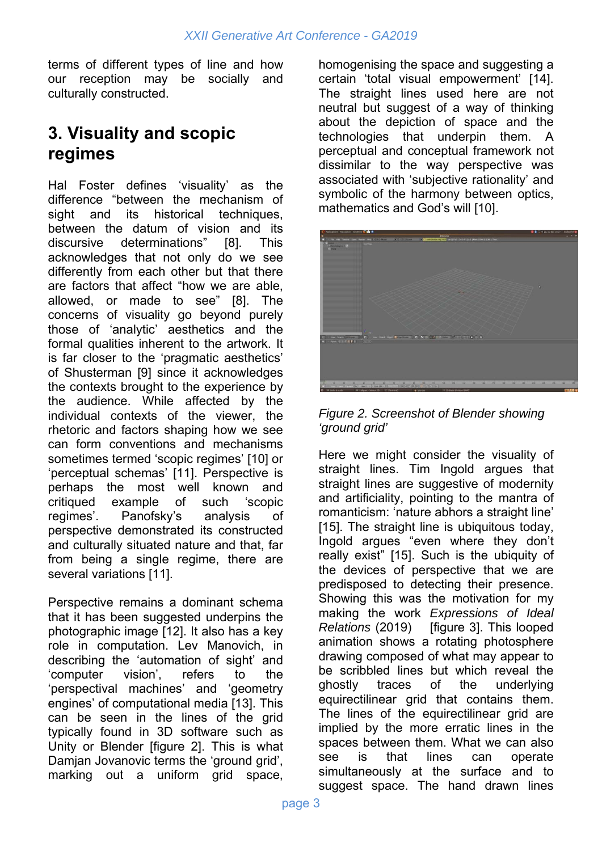terms of different types of line and how our reception may be socially and culturally constructed.

## **3. Visuality and scopic regimes**

Hal Foster defines 'visuality' as the difference "between the mechanism of sight and its historical techniques, between the datum of vision and its discursive determinations" [8]. This acknowledges that not only do we see differently from each other but that there are factors that affect "how we are able, allowed, or made to see" [8]. The concerns of visuality go beyond purely those of 'analytic' aesthetics and the formal qualities inherent to the artwork. It is far closer to the 'pragmatic aesthetics' of Shusterman [9] since it acknowledges the contexts brought to the experience by the audience. While affected by the individual contexts of the viewer, the rhetoric and factors shaping how we see can form conventions and mechanisms sometimes termed 'scopic regimes' [10] or 'perceptual schemas' [11]. Perspective is perhaps the most well known and critiqued example of such 'scopic regimes'. Panofsky's analysis of perspective demonstrated its constructed and culturally situated nature and that, far from being a single regime, there are several variations [11].

Perspective remains a dominant schema that it has been suggested underpins the photographic image [12]. It also has a key role in computation. Lev Manovich, in describing the 'automation of sight' and 'computer vision', refers to the 'perspectival machines' and 'geometry engines' of computational media [13]. This can be seen in the lines of the grid typically found in 3D software such as Unity or Blender [figure 2]. This is what Damjan Jovanovic terms the 'ground grid', marking out a uniform grid space, homogenising the space and suggesting a certain 'total visual empowerment' [14]. The straight lines used here are not neutral but suggest of a way of thinking about the depiction of space and the technologies that underpin them. A perceptual and conceptual framework not dissimilar to the way perspective was associated with 'subjective rationality' and symbolic of the harmony between optics, mathematics and God's will [10].



*Figure 2. Screenshot of Blender showing 'ground grid'* 

Here we might consider the visuality of straight lines. Tim Ingold argues that straight lines are suggestive of modernity and artificiality, pointing to the mantra of romanticism: 'nature abhors a straight line' [15]. The straight line is ubiquitous today, Ingold argues "even where they don't really exist" [15]. Such is the ubiquity of the devices of perspective that we are predisposed to detecting their presence. Showing this was the motivation for my making the work *Expressions of Ideal Relations* (2019) [figure 3]. This looped animation shows a rotating photosphere drawing composed of what may appear to be scribbled lines but which reveal the ghostly traces of the underlying equirectilinear grid that contains them. The lines of the equirectilinear grid are implied by the more erratic lines in the spaces between them. What we can also see is that lines can operate simultaneously at the surface and to suggest space. The hand drawn lines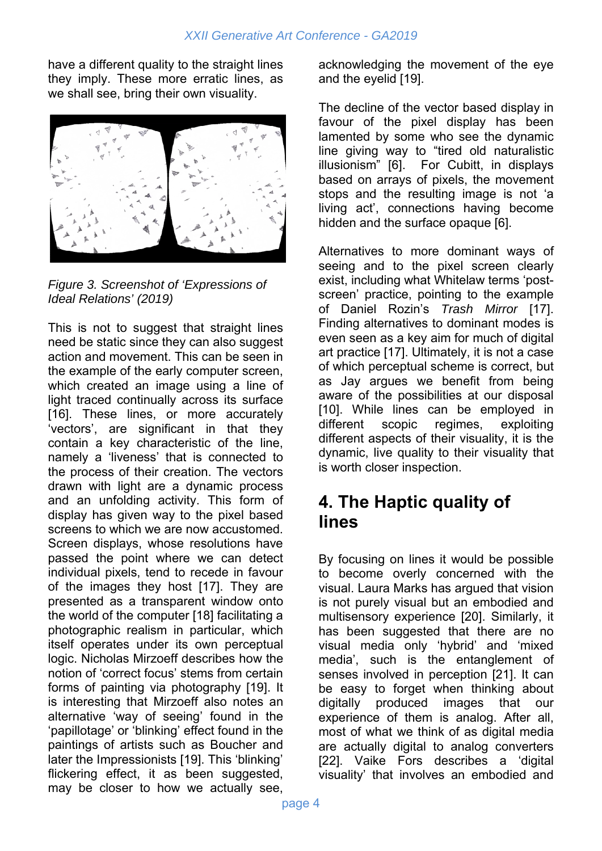have a different quality to the straight lines they imply. These more erratic lines, as we shall see, bring their own visuality.



*Figure 3. Screenshot of 'Expressions of Ideal Relations' (2019)* 

This is not to suggest that straight lines need be static since they can also suggest action and movement. This can be seen in the example of the early computer screen, which created an image using a line of light traced continually across its surface [16]. These lines, or more accurately 'vectors', are significant in that they contain a key characteristic of the line, namely a 'liveness' that is connected to the process of their creation. The vectors drawn with light are a dynamic process and an unfolding activity. This form of display has given way to the pixel based screens to which we are now accustomed. Screen displays, whose resolutions have passed the point where we can detect individual pixels, tend to recede in favour of the images they host [17]. They are presented as a transparent window onto the world of the computer [18] facilitating a photographic realism in particular, which itself operates under its own perceptual logic. Nicholas Mirzoeff describes how the notion of 'correct focus' stems from certain forms of painting via photography [19]. It is interesting that Mirzoeff also notes an alternative 'way of seeing' found in the 'papillotage' or 'blinking' effect found in the paintings of artists such as Boucher and later the Impressionists [19]. This 'blinking' flickering effect, it as been suggested, may be closer to how we actually see, acknowledging the movement of the eye and the eyelid [19].

The decline of the vector based display in favour of the pixel display has been lamented by some who see the dynamic line giving way to "tired old naturalistic illusionism" [6]. For Cubitt, in displays based on arrays of pixels, the movement stops and the resulting image is not 'a living act', connections having become hidden and the surface opaque [6].

Alternatives to more dominant ways of seeing and to the pixel screen clearly exist, including what Whitelaw terms 'postscreen' practice, pointing to the example of Daniel Rozin's *Trash Mirror* [17]. Finding alternatives to dominant modes is even seen as a key aim for much of digital art practice [17]. Ultimately, it is not a case of which perceptual scheme is correct, but as Jay argues we benefit from being aware of the possibilities at our disposal [10]. While lines can be employed in different scopic regimes, exploiting different aspects of their visuality, it is the dynamic, live quality to their visuality that is worth closer inspection.

## **4. The Haptic quality of lines**

By focusing on lines it would be possible to become overly concerned with the visual. Laura Marks has argued that vision is not purely visual but an embodied and multisensory experience [20]. Similarly, it has been suggested that there are no visual media only 'hybrid' and 'mixed media', such is the entanglement of senses involved in perception [21]. It can be easy to forget when thinking about digitally produced images that our experience of them is analog. After all, most of what we think of as digital media are actually digital to analog converters [22]. Vaike Fors describes a 'digital visuality' that involves an embodied and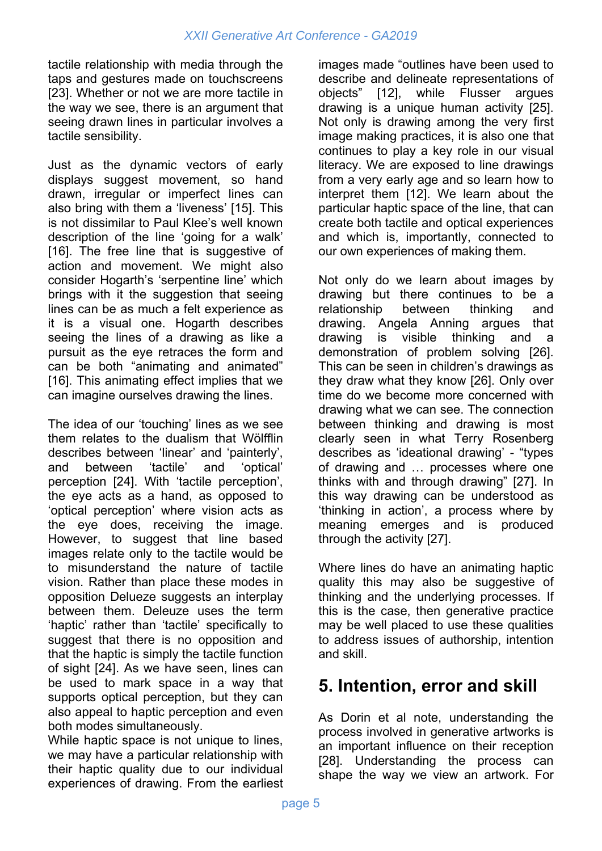tactile relationship with media through the taps and gestures made on touchscreens [23]. Whether or not we are more tactile in the way we see, there is an argument that seeing drawn lines in particular involves a tactile sensibility.

Just as the dynamic vectors of early displays suggest movement, so hand drawn, irregular or imperfect lines can also bring with them a 'liveness' [15]. This is not dissimilar to Paul Klee's well known description of the line 'going for a walk' [16]. The free line that is suggestive of action and movement. We might also consider Hogarth's 'serpentine line' which brings with it the suggestion that seeing lines can be as much a felt experience as it is a visual one. Hogarth describes seeing the lines of a drawing as like a pursuit as the eye retraces the form and can be both "animating and animated" [16]. This animating effect implies that we can imagine ourselves drawing the lines.

The idea of our 'touching' lines as we see them relates to the dualism that Wölfflin describes between 'linear' and 'painterly', and between 'tactile' and 'optical' perception [24]. With 'tactile perception', the eye acts as a hand, as opposed to 'optical perception' where vision acts as the eye does, receiving the image. However, to suggest that line based images relate only to the tactile would be to misunderstand the nature of tactile vision. Rather than place these modes in opposition Delueze suggests an interplay between them. Deleuze uses the term 'haptic' rather than 'tactile' specifically to suggest that there is no opposition and that the haptic is simply the tactile function of sight [24]. As we have seen, lines can be used to mark space in a way that supports optical perception, but they can also appeal to haptic perception and even both modes simultaneously.

While haptic space is not unique to lines, we may have a particular relationship with their haptic quality due to our individual experiences of drawing. From the earliest

images made "outlines have been used to describe and delineate representations of objects" [12], while Flusser argues drawing is a unique human activity [25]. Not only is drawing among the very first image making practices, it is also one that continues to play a key role in our visual literacy. We are exposed to line drawings from a very early age and so learn how to interpret them [12]. We learn about the particular haptic space of the line, that can create both tactile and optical experiences and which is, importantly, connected to our own experiences of making them.

Not only do we learn about images by drawing but there continues to be a relationship between thinking and drawing. Angela Anning argues that drawing is visible thinking and a demonstration of problem solving [26]. This can be seen in children's drawings as they draw what they know [26]. Only over time do we become more concerned with drawing what we can see. The connection between thinking and drawing is most clearly seen in what Terry Rosenberg describes as 'ideational drawing' - "types of drawing and … processes where one thinks with and through drawing" [27]. In this way drawing can be understood as 'thinking in action', a process where by meaning emerges and is produced through the activity [27].

Where lines do have an animating haptic quality this may also be suggestive of thinking and the underlying processes. If this is the case, then generative practice may be well placed to use these qualities to address issues of authorship, intention and skill.

## **5. Intention, error and skill**

As Dorin et al note, understanding the process involved in generative artworks is an important influence on their reception [28]. Understanding the process can shape the way we view an artwork. For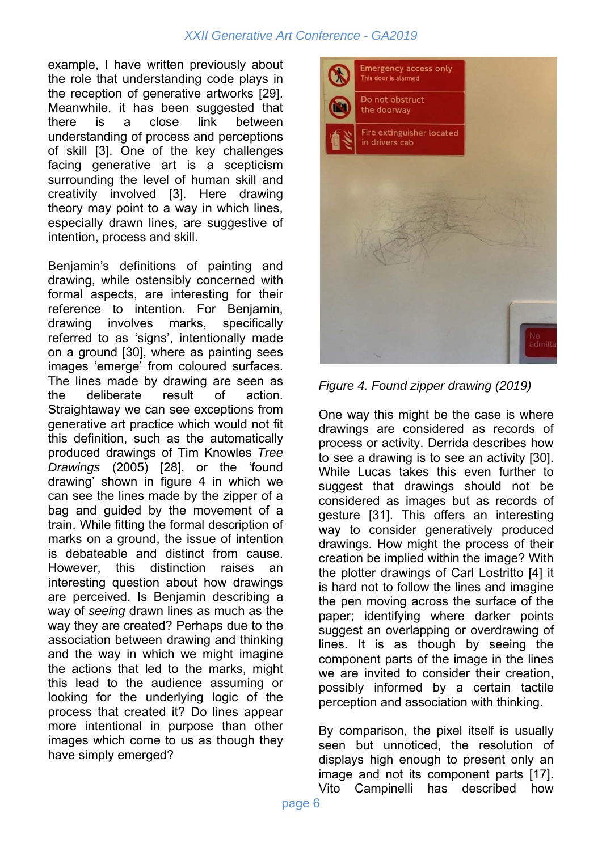#### *XXII Generative Art Conference - GA2019*

example, I have written previously about the role that understanding code plays in the reception of generative artworks [29]. Meanwhile, it has been suggested that there is a close link between understanding of process and perceptions of skill [3]. One of the key challenges facing generative art is a scepticism surrounding the level of human skill and creativity involved [3]. Here drawing theory may point to a way in which lines, especially drawn lines, are suggestive of intention, process and skill.

Benjamin's definitions of painting and drawing, while ostensibly concerned with formal aspects, are interesting for their reference to intention. For Benjamin, drawing involves marks, specifically referred to as 'signs', intentionally made on a ground [30], where as painting sees images 'emerge' from coloured surfaces. The lines made by drawing are seen as the deliberate result of action. Straightaway we can see exceptions from generative art practice which would not fit this definition, such as the automatically produced drawings of Tim Knowles *Tree Drawings* (2005) [28], or the 'found drawing' shown in figure 4 in which we can see the lines made by the zipper of a bag and guided by the movement of a train. While fitting the formal description of marks on a ground, the issue of intention is debateable and distinct from cause. However, this distinction raises an interesting question about how drawings are perceived. Is Benjamin describing a way of *seeing* drawn lines as much as the way they are created? Perhaps due to the association between drawing and thinking and the way in which we might imagine the actions that led to the marks, might this lead to the audience assuming or looking for the underlying logic of the process that created it? Do lines appear more intentional in purpose than other images which come to us as though they have simply emerged?



*Figure 4. Found zipper drawing (2019)* 

One way this might be the case is where drawings are considered as records of process or activity. Derrida describes how to see a drawing is to see an activity [30]. While Lucas takes this even further to suggest that drawings should not be considered as images but as records of gesture [31]. This offers an interesting way to consider generatively produced drawings. How might the process of their creation be implied within the image? With the plotter drawings of Carl Lostritto [4] it is hard not to follow the lines and imagine the pen moving across the surface of the paper; identifying where darker points suggest an overlapping or overdrawing of lines. It is as though by seeing the component parts of the image in the lines we are invited to consider their creation, possibly informed by a certain tactile perception and association with thinking.

By comparison, the pixel itself is usually seen but unnoticed, the resolution of displays high enough to present only an image and not its component parts [17]. Vito Campinelli has described how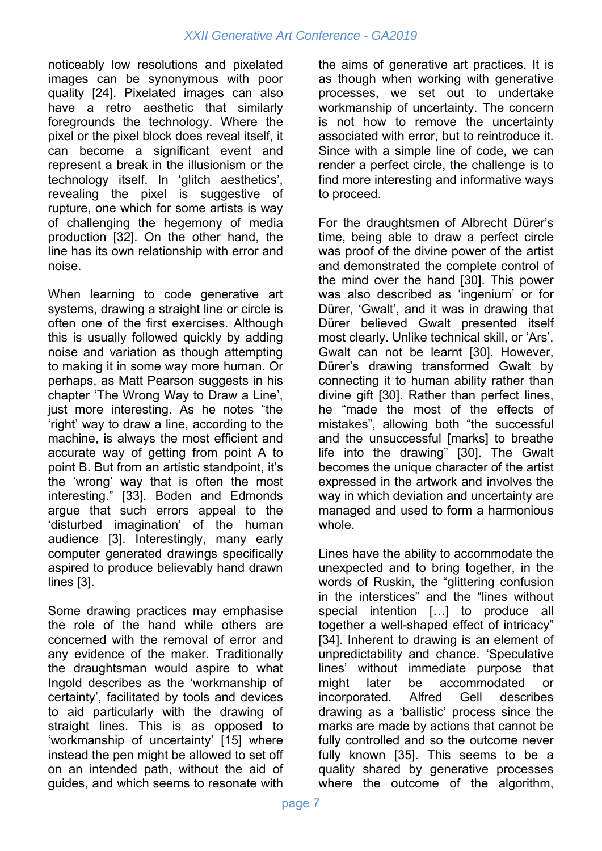noticeably low resolutions and pixelated images can be synonymous with poor quality [24]. Pixelated images can also have a retro aesthetic that similarly foregrounds the technology. Where the pixel or the pixel block does reveal itself, it can become a significant event and represent a break in the illusionism or the technology itself. In 'glitch aesthetics', revealing the pixel is suggestive of rupture, one which for some artists is way of challenging the hegemony of media production [32]. On the other hand, the line has its own relationship with error and noise.

When learning to code generative art systems, drawing a straight line or circle is often one of the first exercises. Although this is usually followed quickly by adding noise and variation as though attempting to making it in some way more human. Or perhaps, as Matt Pearson suggests in his chapter 'The Wrong Way to Draw a Line', just more interesting. As he notes "the 'right' way to draw a line, according to the machine, is always the most efficient and accurate way of getting from point A to point B. But from an artistic standpoint, it's the 'wrong' way that is often the most interesting." [33]. Boden and Edmonds argue that such errors appeal to the 'disturbed imagination' of the human audience [3]. Interestingly, many early computer generated drawings specifically aspired to produce believably hand drawn lines [3].

Some drawing practices may emphasise the role of the hand while others are concerned with the removal of error and any evidence of the maker. Traditionally the draughtsman would aspire to what Ingold describes as the 'workmanship of certainty', facilitated by tools and devices to aid particularly with the drawing of straight lines. This is as opposed to 'workmanship of uncertainty' [15] where instead the pen might be allowed to set off on an intended path, without the aid of guides, and which seems to resonate with

the aims of generative art practices. It is as though when working with generative processes, we set out to undertake workmanship of uncertainty. The concern is not how to remove the uncertainty associated with error, but to reintroduce it. Since with a simple line of code, we can render a perfect circle, the challenge is to find more interesting and informative ways to proceed.

For the draughtsmen of Albrecht Dürer's time, being able to draw a perfect circle was proof of the divine power of the artist and demonstrated the complete control of the mind over the hand [30]. This power was also described as 'ingenium' or for Dürer, 'Gwalt', and it was in drawing that Dürer believed Gwalt presented itself most clearly. Unlike technical skill, or 'Ars', Gwalt can not be learnt [30]. However, Dürer's drawing transformed Gwalt by connecting it to human ability rather than divine gift [30]. Rather than perfect lines, he "made the most of the effects of mistakes", allowing both "the successful and the unsuccessful [marks] to breathe life into the drawing" [30]. The Gwalt becomes the unique character of the artist expressed in the artwork and involves the way in which deviation and uncertainty are managed and used to form a harmonious whole.

Lines have the ability to accommodate the unexpected and to bring together, in the words of Ruskin, the "glittering confusion in the interstices" and the "lines without special intention […] to produce all together a well-shaped effect of intricacy" [34]. Inherent to drawing is an element of unpredictability and chance. 'Speculative lines' without immediate purpose that might later be accommodated or incorporated. Alfred Gell describes drawing as a 'ballistic' process since the marks are made by actions that cannot be fully controlled and so the outcome never fully known [35]. This seems to be a quality shared by generative processes where the outcome of the algorithm,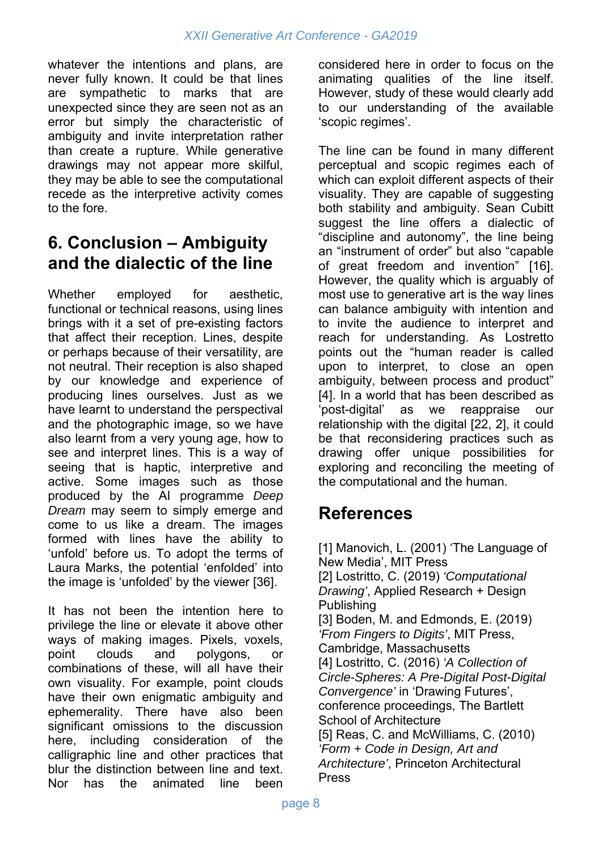whatever the intentions and plans, are never fully known. It could be that lines are sympathetic to marks that are unexpected since they are seen not as an error but simply the characteristic of ambiguity and invite interpretation rather than create a rupture. While generative drawings may not appear more skilful, they may be able to see the computational recede as the interpretive activity comes to the fore.

#### **6. Conclusion – Ambiguity and the dialectic of the line**

Whether employed for aesthetic. functional or technical reasons, using lines brings with it a set of pre-existing factors that affect their reception. Lines, despite or perhaps because of their versatility, are not neutral. Their reception is also shaped by our knowledge and experience of producing lines ourselves. Just as we have learnt to understand the perspectival and the photographic image, so we have also learnt from a very young age, how to see and interpret lines. This is a way of seeing that is haptic, interpretive and active. Some images such as those produced by the AI programme *Deep Dream* may seem to simply emerge and come to us like a dream. The images formed with lines have the ability to 'unfold' before us. To adopt the terms of Laura Marks, the potential 'enfolded' into the image is 'unfolded' by the viewer [36].

It has not been the intention here to privilege the line or elevate it above other ways of making images. Pixels, voxels, point clouds and polygons, or combinations of these, will all have their own visuality. For example, point clouds have their own enigmatic ambiguity and ephemerality. There have also been significant omissions to the discussion here, including consideration of the calligraphic line and other practices that blur the distinction between line and text. Nor has the animated line been

considered here in order to focus on the animating qualities of the line itself. However, study of these would clearly add to our understanding of the available 'scopic regimes'.

The line can be found in many different perceptual and scopic regimes each of which can exploit different aspects of their visuality. They are capable of suggesting both stability and ambiguity. Sean Cubitt suggest the line offers a dialectic of "discipline and autonomy", the line being an "instrument of order" but also "capable of great freedom and invention" [16]. However, the quality which is arguably of most use to generative art is the way lines can balance ambiguity with intention and to invite the audience to interpret and reach for understanding. As Lostretto points out the "human reader is called upon to interpret, to close an open ambiguity, between process and product" [4]. In a world that has been described as 'post-digital' as we reappraise our relationship with the digital [22, 2], it could be that reconsidering practices such as drawing offer unique possibilities for exploring and reconciling the meeting of the computational and the human.

### **References**

[1] Manovich, L. (2001) 'The Language of New Media', MIT Press [2] Lostritto, C. (2019) *'Computational Drawing'*, Applied Research + Design Publishing [3] Boden, M. and Edmonds, E. (2019) *'From Fingers to Digits'*, MIT Press, Cambridge, Massachusetts [4] Lostritto, C. (2016) *'A Collection of Circle-Spheres: A Pre-Digital Post-Digital Convergence'* in 'Drawing Futures', conference proceedings, The Bartlett School of Architecture [5] Reas, C. and McWilliams, C. (2010) *'Form + Code in Design, Art and Architecture'*, Princeton Architectural Press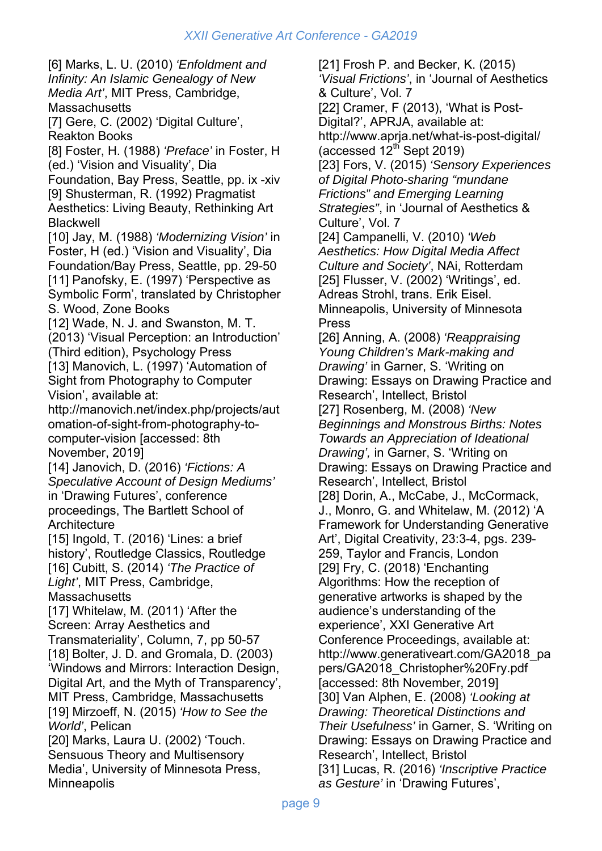[6] Marks, L. U. (2010) *'Enfoldment and Infinity: An Islamic Genealogy of New Media Art'*, MIT Press, Cambridge, **Massachusetts** [7] Gere, C. (2002) 'Digital Culture', Reakton Books [8] Foster, H. (1988) *'Preface'* in Foster, H (ed.) 'Vision and Visuality', Dia Foundation, Bay Press, Seattle, pp. ix -xiv [9] Shusterman, R. (1992) Pragmatist Aesthetics: Living Beauty, Rethinking Art Blackwell [10] Jay, M. (1988) *'Modernizing Vision'* in Foster, H (ed.) 'Vision and Visuality', Dia Foundation/Bay Press, Seattle, pp. 29-50 [11] Panofsky, E. (1997) 'Perspective as Symbolic Form', translated by Christopher S. Wood, Zone Books [12] Wade, N. J. and Swanston, M. T. (2013) 'Visual Perception: an Introduction' (Third edition), Psychology Press [13] Manovich, L. (1997) 'Automation of Sight from Photography to Computer Vision', available at: http://manovich.net/index.php/projects/aut omation-of-sight-from-photography-tocomputer-vision [accessed: 8th November, 2019] [14] Janovich, D. (2016) *'Fictions: A Speculative Account of Design Mediums'* in 'Drawing Futures', conference proceedings, The Bartlett School of **Architecture** [15] Ingold, T. (2016) 'Lines: a brief history', Routledge Classics, Routledge [16] Cubitt, S. (2014) *'The Practice of Light'*, MIT Press, Cambridge, **Massachusetts** [17] Whitelaw, M. (2011) 'After the Screen: Array Aesthetics and Transmateriality', Column, 7, pp 50-57 [18] Bolter, J. D. and Gromala, D. (2003) 'Windows and Mirrors: Interaction Design, Digital Art, and the Myth of Transparency', MIT Press, Cambridge, Massachusetts [19] Mirzoeff, N. (2015) *'How to See the World'*, Pelican [20] Marks, Laura U. (2002) 'Touch. Sensuous Theory and Multisensory Media', University of Minnesota Press,

**Minneapolis** 

[21] Frosh P. and Becker, K. (2015) *'Visual Frictions'*, in 'Journal of Aesthetics & Culture', Vol. 7 [22] Cramer, F (2013), 'What is Post-Digital?', APRJA, available at: http://www.aprja.net/what-is-post-digital/ (accessed  $12^{th}$  Sept 2019) [23] Fors, V. (2015) *'Sensory Experiences of Digital Photo-sharing "mundane Frictions" and Emerging Learning Strategies"*, in 'Journal of Aesthetics & Culture', Vol. 7 [24] Campanelli, V. (2010) *'Web Aesthetics: How Digital Media Affect Culture and Society'*, NAi, Rotterdam [25] Flusser, V. (2002) 'Writings', ed. Adreas Strohl, trans. Erik Eisel. Minneapolis, University of Minnesota Press [26] Anning, A. (2008) *'Reappraising Young Children's Mark-making and Drawing'* in Garner, S. 'Writing on Drawing: Essays on Drawing Practice and Research', Intellect, Bristol [27] Rosenberg, M. (2008) *'New Beginnings and Monstrous Births: Notes Towards an Appreciation of Ideational Drawing',* in Garner, S. 'Writing on Drawing: Essays on Drawing Practice and Research', Intellect, Bristol [28] Dorin, A., McCabe, J., McCormack, J., Monro, G. and Whitelaw, M. (2012) 'A Framework for Understanding Generative Art', Digital Creativity, 23:3-4, pgs. 239- 259, Taylor and Francis, London [29] Fry, C. (2018) 'Enchanting Algorithms: How the reception of generative artworks is shaped by the audience's understanding of the experience', XXI Generative Art Conference Proceedings, available at: http://www.generativeart.com/GA2018\_pa pers/GA2018\_Christopher%20Fry.pdf [accessed: 8th November, 2019] [30] Van Alphen, E. (2008) *'Looking at Drawing: Theoretical Distinctions and Their Usefulness'* in Garner, S. 'Writing on Drawing: Essays on Drawing Practice and Research', Intellect, Bristol [31] Lucas, R. (2016) *'Inscriptive Practice as Gesture'* in 'Drawing Futures',